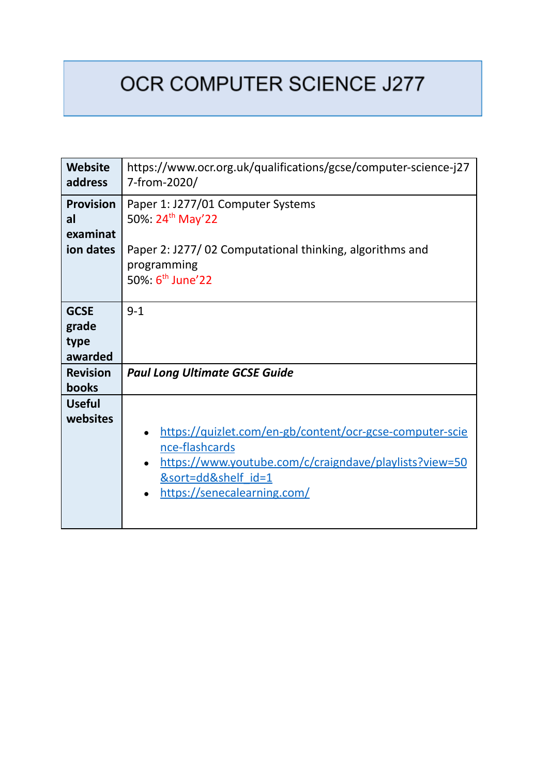# OCR COMPUTER SCIENCE J277

| Website<br>address                              | https://www.ocr.org.uk/qualifications/gcse/computer-science-j27<br>7-from-2020/                                                                                                            |
|-------------------------------------------------|--------------------------------------------------------------------------------------------------------------------------------------------------------------------------------------------|
| <b>Provision</b><br>al<br>examinat<br>ion dates | Paper 1: J277/01 Computer Systems<br>50%: $24^{th}$ May'22<br>Paper 2: J277/02 Computational thinking, algorithms and<br>programming<br>50%: 6 <sup>th</sup> June'22                       |
| <b>GCSE</b><br>grade<br>type<br>awarded         | $9 - 1$                                                                                                                                                                                    |
| <b>Revision</b><br><b>books</b>                 | <b>Paul Long Ultimate GCSE Guide</b>                                                                                                                                                       |
| <b>Useful</b><br>websites                       | https://quizlet.com/en-gb/content/ocr-gcse-computer-scie<br>nce-flashcards<br>https://www.youtube.com/c/craigndave/playlists?view=50<br>&sort=dd&shelf id=1<br>https://senecalearning.com/ |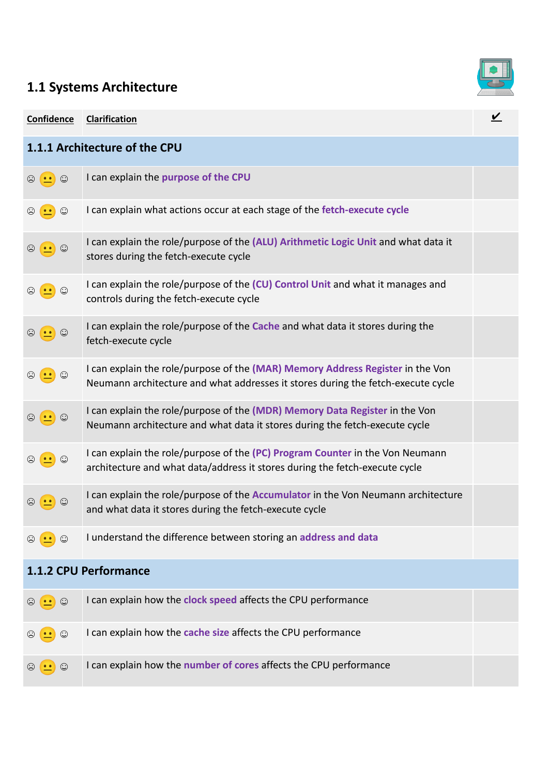# **1.1 Systems Architecture**



| Confidence                              | <b>Clarification</b>                                                                                                                                               |  |
|-----------------------------------------|--------------------------------------------------------------------------------------------------------------------------------------------------------------------|--|
|                                         | 1.1.1 Architecture of the CPU                                                                                                                                      |  |
| $\odot$<br>$\odot$ $\bullet$            | I can explain the purpose of the CPU                                                                                                                               |  |
| $\odot$ $\bullet$<br>$\odot$            | I can explain what actions occur at each stage of the fetch-execute cycle                                                                                          |  |
| $\circledcirc$ $\bullet$ $\circledcirc$ | I can explain the role/purpose of the (ALU) Arithmetic Logic Unit and what data it<br>stores during the fetch-execute cycle                                        |  |
| $\odot$ $\bullet$ $\odot$               | I can explain the role/purpose of the (CU) Control Unit and what it manages and<br>controls during the fetch-execute cycle                                         |  |
| $\circledcirc$ $\circledcirc$           | I can explain the role/purpose of the <b>Cache</b> and what data it stores during the<br>fetch-execute cycle                                                       |  |
| $\circledcirc$ $\bullet$ $\circledcirc$ | I can explain the role/purpose of the (MAR) Memory Address Register in the Von<br>Neumann architecture and what addresses it stores during the fetch-execute cycle |  |
| $\circledcirc$ $\bullet$ $\circledcirc$ | I can explain the role/purpose of the (MDR) Memory Data Register in the Von<br>Neumann architecture and what data it stores during the fetch-execute cycle         |  |
| $\circledcirc$ $\bullet$ $\circledcirc$ | I can explain the role/purpose of the (PC) Program Counter in the Von Neumann<br>architecture and what data/address it stores during the fetch-execute cycle       |  |
| $\odot$                                 | I can explain the role/purpose of the Accumulator in the Von Neumann architecture<br>and what data it stores during the fetch-execute cycle                        |  |
| $\odot$<br>☺                            | I understand the difference between storing an address and data                                                                                                    |  |
|                                         | 1.1.2 CPU Performance                                                                                                                                              |  |
| $\odot$<br>$\odot$                      | I can explain how the clock speed affects the CPU performance                                                                                                      |  |
| $\odot$                                 | I can explain how the cache size affects the CPU performance                                                                                                       |  |
|                                         | I can explain how the number of cores affects the CPU performance                                                                                                  |  |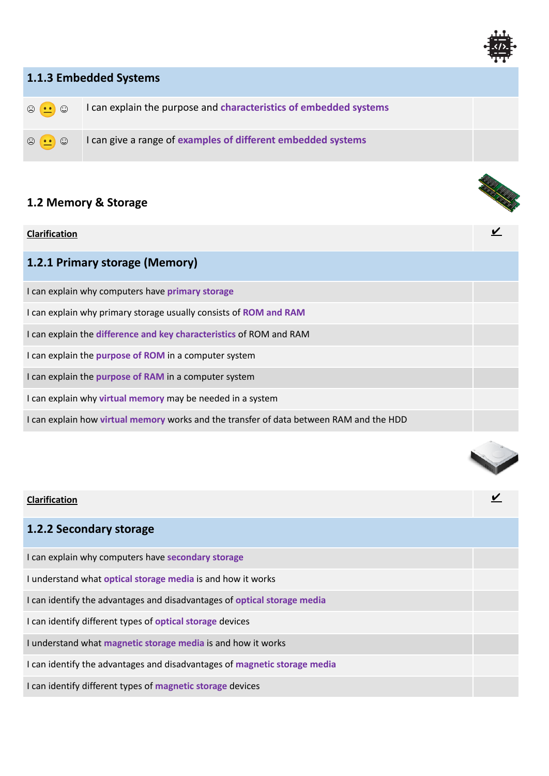



#### **1.2 Memory & Storage**

#### **Clarification** ✔

| 1.2.1 Primary storage (Memory)                                                          |  |
|-----------------------------------------------------------------------------------------|--|
| I can explain why computers have primary storage                                        |  |
| I can explain why primary storage usually consists of ROM and RAM                       |  |
| I can explain the difference and key characteristics of ROM and RAM                     |  |
| I can explain the <b>purpose of ROM</b> in a computer system                            |  |
| I can explain the <b>purpose of RAM</b> in a computer system                            |  |
| I can explain why virtual memory may be needed in a system                              |  |
| I can explain how virtual memory works and the transfer of data between RAM and the HDD |  |



| 1.2.2 Secondary storage                                                   |  |
|---------------------------------------------------------------------------|--|
| I can explain why computers have secondary storage                        |  |
| I understand what <b>optical storage media</b> is and how it works        |  |
| I can identify the advantages and disadvantages of optical storage media  |  |
| I can identify different types of <b>optical storage</b> devices          |  |
| I understand what magnetic storage media is and how it works              |  |
| I can identify the advantages and disadvantages of magnetic storage media |  |
| I can identify different types of magnetic storage devices                |  |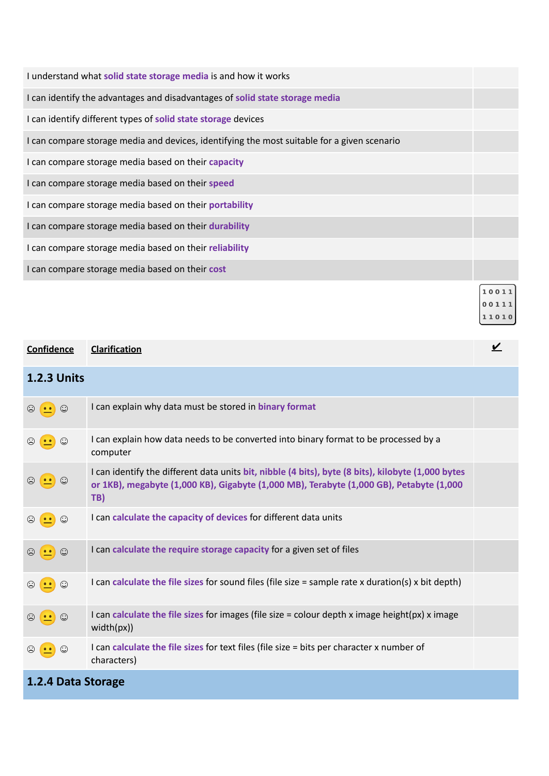| I understand what solid state storage media is and how it works                             |       |
|---------------------------------------------------------------------------------------------|-------|
| I can identify the advantages and disadvantages of solid state storage media                |       |
| I can identify different types of solid state storage devices                               |       |
| I can compare storage media and devices, identifying the most suitable for a given scenario |       |
| I can compare storage media based on their capacity                                         |       |
| I can compare storage media based on their speed                                            |       |
| I can compare storage media based on their portability                                      |       |
| I can compare storage media based on their durability                                       |       |
| I can compare storage media based on their reliability                                      |       |
| I can compare storage media based on their cost                                             |       |
|                                                                                             | 10011 |

|  |  | 00111 |
|--|--|-------|
|  |  | 11010 |

| Confidence                                      | <b>Clarification</b>                                                                                                                                                                                 |  |
|-------------------------------------------------|------------------------------------------------------------------------------------------------------------------------------------------------------------------------------------------------------|--|
| <b>1.2.3 Units</b>                              |                                                                                                                                                                                                      |  |
| $\frac{\bullet}{\bullet}$<br>$\odot$<br>$\odot$ | I can explain why data must be stored in <b>binary format</b>                                                                                                                                        |  |
| $\odot$<br>$\bullet$                            | I can explain how data needs to be converted into binary format to be processed by a<br>computer                                                                                                     |  |
| $\odot$ $\circ$<br>$\odot$                      | I can identify the different data units bit, nibble (4 bits), byte (8 bits), kilobyte (1,000 bytes<br>or 1KB), megabyte (1,000 KB), Gigabyte (1,000 MB), Terabyte (1,000 GB), Petabyte (1,000<br>TB) |  |
| $\odot$<br>$\bullet$<br>☺                       | I can calculate the capacity of devices for different data units                                                                                                                                     |  |
| $\odot$ $\bullet$<br>$\odot$                    | I can calculate the require storage capacity for a given set of files                                                                                                                                |  |
| $\odot$<br>$\bullet$                            | I can calculate the file sizes for sound files (file size = sample rate x duration(s) x bit depth)                                                                                                   |  |
| $\odot$<br>$\frac{•}{•}$                        | I can calculate the file sizes for images (file size $=$ colour depth x image height( $px$ ) x image<br>width(px)                                                                                    |  |
| $\bullet$<br>$\odot$                            | I can calculate the file sizes for text files (file size = bits per character x number of<br>characters)                                                                                             |  |
| 1.2.4 Data Storage                              |                                                                                                                                                                                                      |  |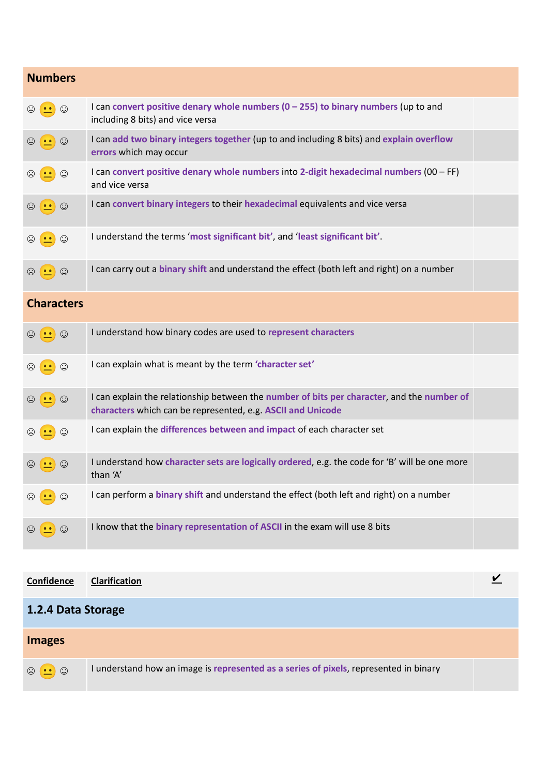| <b>Numbers</b>                      |                                                                                                                                                           |  |
|-------------------------------------|-----------------------------------------------------------------------------------------------------------------------------------------------------------|--|
| $\odot$<br>$\odot$<br>$\frac{•}{•}$ | I can convert positive denary whole numbers $(0 - 255)$ to binary numbers (up to and<br>including 8 bits) and vice versa                                  |  |
| $\circledcirc$ $\bullet$<br>$\odot$ | I can add two binary integers together (up to and including 8 bits) and explain overflow<br>errors which may occur                                        |  |
| $\odot$<br>$\odot$ $\bullet$        | I can convert positive denary whole numbers into 2-digit hexadecimal numbers (00 - FF)<br>and vice versa                                                  |  |
| $\circledcirc$ $\circledcirc$       | I can convert binary integers to their hexadecimal equivalents and vice versa                                                                             |  |
| $\odot$ $\bullet$ $\odot$           | I understand the terms 'most significant bit', and 'least significant bit'.                                                                               |  |
| $\odot$ $\bullet$ $\odot$           | I can carry out a binary shift and understand the effect (both left and right) on a number                                                                |  |
| <b>Characters</b>                   |                                                                                                                                                           |  |
| $\circledcirc$ $\circledcirc$       | I understand how binary codes are used to represent characters                                                                                            |  |
| $\odot$<br>$\odot$ $\bullet$        | I can explain what is meant by the term 'character set'                                                                                                   |  |
| $\odot$<br>$\circledcirc$ $\circ$   | I can explain the relationship between the number of bits per character, and the number of<br>characters which can be represented, e.g. ASCII and Unicode |  |
| $\odot$<br>$\odot$ $\bullet$        | I can explain the differences between and impact of each character set                                                                                    |  |
| $\odot$<br>$\odot$                  | I understand how character sets are logically ordered, e.g. the code for 'B' will be one more<br>than 'A'                                                 |  |
| $\odot$<br>$\bullet$<br>$\odot$     | I can perform a binary shift and understand the effect (both left and right) on a number                                                                  |  |
| $\odot$                             | I know that the binary representation of ASCII in the exam will use 8 bits                                                                                |  |

**Confidence Clarification** ✔

#### **1.2.4 Data Storage**

| <b>Images</b>             |                                                                                       |  |
|---------------------------|---------------------------------------------------------------------------------------|--|
| $\odot$ $\bullet$ $\odot$ | I understand how an image is represented as a series of pixels, represented in binary |  |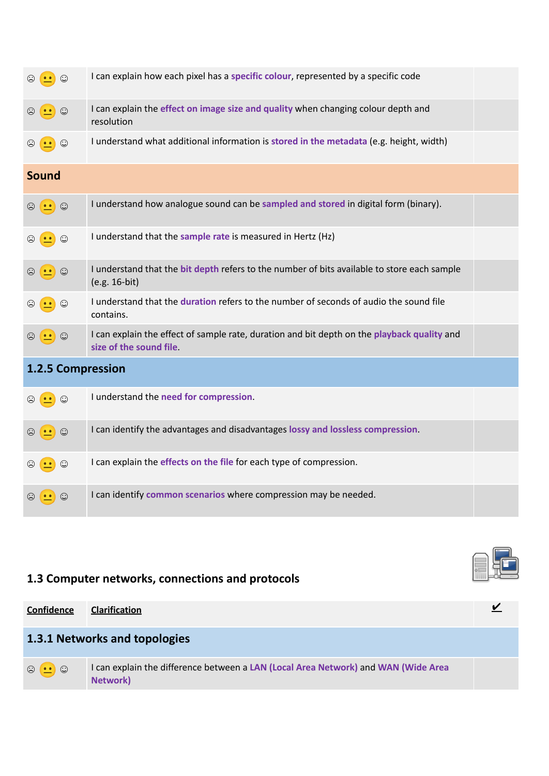| $\odot$                           | I can explain how each pixel has a specific colour, represented by a specific code                                    |  |
|-----------------------------------|-----------------------------------------------------------------------------------------------------------------------|--|
| $\odot$                           | I can explain the effect on image size and quality when changing colour depth and<br>resolution                       |  |
| $\odot$<br>$\overset{\bullet}{-}$ | I understand what additional information is stored in the metadata (e.g. height, width)                               |  |
| <b>Sound</b>                      |                                                                                                                       |  |
| $\odot$ $\circ$<br>$\odot$        | I understand how analogue sound can be sampled and stored in digital form (binary).                                   |  |
| $\odot$                           | I understand that the sample rate is measured in Hertz (Hz)                                                           |  |
| $\odot$<br>$\odot$                | I understand that the bit depth refers to the number of bits available to store each sample<br>(e.g. 16-bit)          |  |
| $\odot$                           | I understand that the duration refers to the number of seconds of audio the sound file<br>contains.                   |  |
| $\odot$<br>$\odot$ $\bullet$      | I can explain the effect of sample rate, duration and bit depth on the playback quality and<br>size of the sound file |  |
| 1.2.5 Compression                 |                                                                                                                       |  |
| $\odot$<br>$\bullet\bullet$<br>☺  | I understand the need for compression.                                                                                |  |
| $\odot$<br>$\bullet\bullet$       | I can identify the advantages and disadvantages lossy and lossless compression.                                       |  |
| $\odot$                           | I can explain the effects on the file for each type of compression.                                                   |  |
| $\odot$                           | I can identify common scenarios where compression may be needed.                                                      |  |

### **1.3 Computer networks, connections and protocols**

| <b>Confidence</b>         | <b>Clarification</b>                                                                           |  |
|---------------------------|------------------------------------------------------------------------------------------------|--|
|                           | 1.3.1 Networks and topologies                                                                  |  |
| $\odot$ $\bullet$ $\odot$ | I can explain the difference between a LAN (Local Area Network) and WAN (Wide Area<br>Network) |  |

 $\frac{1}{\sqrt{2}}$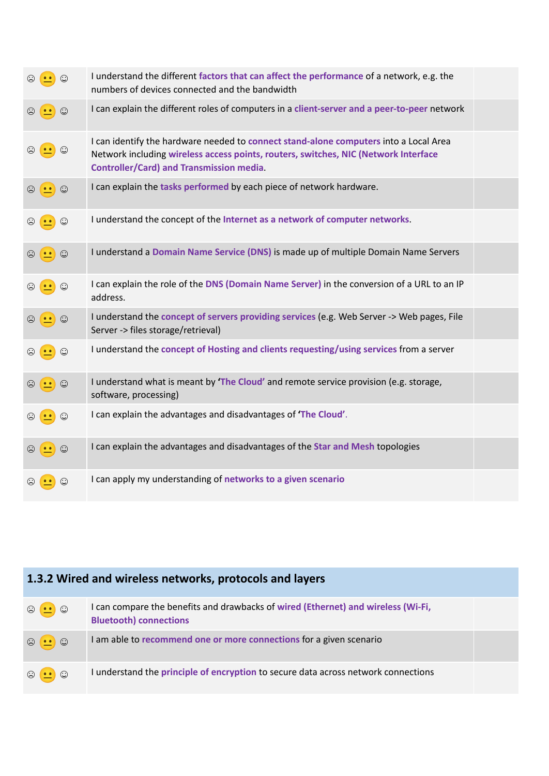|                                      | I understand the different factors that can affect the performance of a network, e.g. the<br>numbers of devices connected and the bandwidth                                                                                     |  |
|--------------------------------------|---------------------------------------------------------------------------------------------------------------------------------------------------------------------------------------------------------------------------------|--|
|                                      | I can explain the different roles of computers in a client-server and a peer-to-peer network                                                                                                                                    |  |
| $\overset{\bullet}{-}$<br>$\odot$    | I can identify the hardware needed to connect stand-alone computers into a Local Area<br>Network including wireless access points, routers, switches, NIC (Network Interface<br><b>Controller/Card) and Transmission media.</b> |  |
| $\odot$ $\bullet$ $\odot$            | I can explain the tasks performed by each piece of network hardware.                                                                                                                                                            |  |
| $\odot$<br>$\frac{\bullet}{\bullet}$ | I understand the concept of the Internet as a network of computer networks.                                                                                                                                                     |  |
| $\odot$<br>$\odot$ $\bullet$         | I understand a Domain Name Service (DNS) is made up of multiple Domain Name Servers                                                                                                                                             |  |
| $\odot$                              | I can explain the role of the DNS (Domain Name Server) in the conversion of a URL to an IP<br>address.                                                                                                                          |  |
| $\odot$<br>$\circledcirc$ $\bullet$  | I understand the concept of servers providing services (e.g. Web Server -> Web pages, File<br>Server -> files storage/retrieval)                                                                                                |  |
| $\odot$ $\bullet$<br>$\odot$         | I understand the concept of Hosting and clients requesting/using services from a server                                                                                                                                         |  |
| $\circledcirc$ $\circledcirc$        | I understand what is meant by 'The Cloud' and remote service provision (e.g. storage,<br>software, processing)                                                                                                                  |  |
| $\odot$                              | I can explain the advantages and disadvantages of 'The Cloud'.                                                                                                                                                                  |  |
| $\odot$<br>$\odot$ $\bullet$         | I can explain the advantages and disadvantages of the Star and Mesh topologies                                                                                                                                                  |  |
| $\odot$                              | I can apply my understanding of networks to a given scenario                                                                                                                                                                    |  |

#### **1.3.2 Wired and wireless networks, protocols and layers**  $\odot$   $\cdot$   $\circ$ I can compare the benefits and drawbacks of **wired (Ethernet) and wireless (Wi-Fi, Bluetooth) connections**  $\odot$   $\bullet$   $\odot$ I am able to **recommend one or more connections** for a given scenario  $\odot$   $\bullet$   $\odot$ I understand the **principle of encryption** to secure data across network connections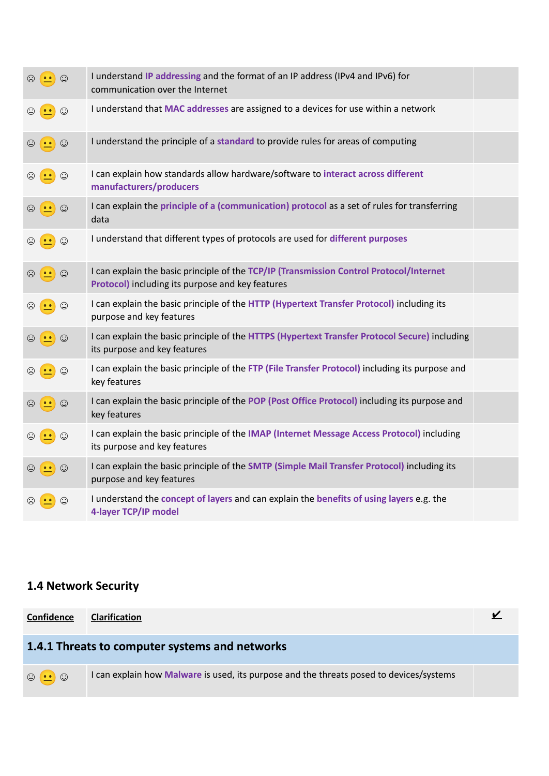| $\odot$                                         | I understand IP addressing and the format of an IP address (IPv4 and IPv6) for<br>communication over the Internet                           |  |
|-------------------------------------------------|---------------------------------------------------------------------------------------------------------------------------------------------|--|
| $\odot$                                         | I understand that MAC addresses are assigned to a devices for use within a network                                                          |  |
| $\odot$<br>$\frac{\bullet}{\bullet}$<br>$\odot$ | I understand the principle of a standard to provide rules for areas of computing                                                            |  |
| $\odot$                                         | I can explain how standards allow hardware/software to interact across different<br>manufacturers/producers                                 |  |
| $\odot$<br>$\odot$                              | I can explain the principle of a (communication) protocol as a set of rules for transferring<br>data                                        |  |
| $\odot$                                         | I understand that different types of protocols are used for different purposes                                                              |  |
| $\odot$<br>$\odot$                              | I can explain the basic principle of the TCP/IP (Transmission Control Protocol/Internet<br>Protocol) including its purpose and key features |  |
| $\odot$                                         | I can explain the basic principle of the HTTP (Hypertext Transfer Protocol) including its<br>purpose and key features                       |  |
| $\overline{\mathbf{e}}$<br>$\odot$<br>$\odot$   | I can explain the basic principle of the HTTPS (Hypertext Transfer Protocol Secure) including<br>its purpose and key features               |  |
| $\odot$                                         | I can explain the basic principle of the FTP (File Transfer Protocol) including its purpose and<br>key features                             |  |
| $\odot$                                         | I can explain the basic principle of the POP (Post Office Protocol) including its purpose and<br>key features                               |  |
| $\odot$                                         | I can explain the basic principle of the IMAP (Internet Message Access Protocol) including<br>its purpose and key features                  |  |
| $\odot$ $\bullet$<br>$\odot$                    | I can explain the basic principle of the SMTP (Simple Mail Transfer Protocol) including its<br>purpose and key features                     |  |
| $\bullet\bullet$<br>$\odot$                     | I understand the concept of layers and can explain the benefits of using layers e.g. the<br>4-layer TCP/IP model                            |  |

### **1.4 Network Security**

| <b>Confidence</b>         | <b>Clarification</b>                                                                    |  |
|---------------------------|-----------------------------------------------------------------------------------------|--|
|                           | 1.4.1 Threats to computer systems and networks                                          |  |
| $\odot$ $\bullet$ $\odot$ | I can explain how Malware is used, its purpose and the threats posed to devices/systems |  |
|                           |                                                                                         |  |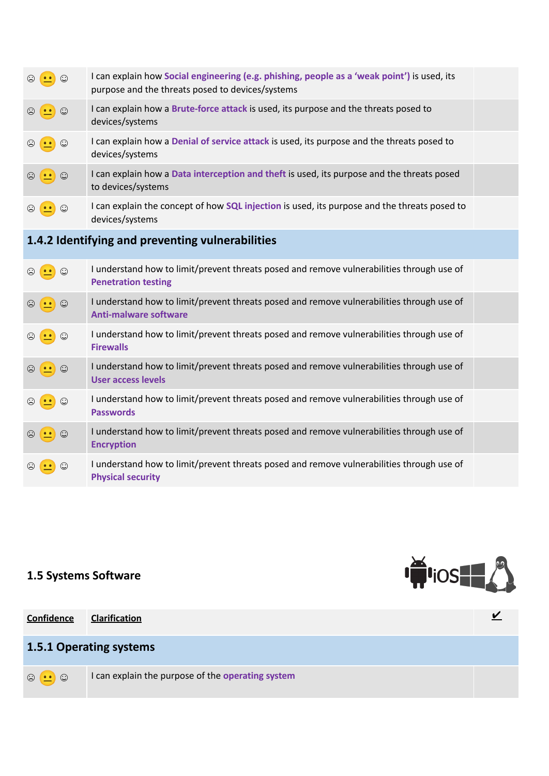| $\odot$                         | I can explain how Social engineering (e.g. phishing, people as a 'weak point') is used, its<br>purpose and the threats posed to devices/systems |  |
|---------------------------------|-------------------------------------------------------------------------------------------------------------------------------------------------|--|
| $\odot$<br>☺                    | I can explain how a Brute-force attack is used, its purpose and the threats posed to<br>devices/systems                                         |  |
| $\odot$                         | I can explain how a Denial of service attack is used, its purpose and the threats posed to<br>devices/systems                                   |  |
| $\odot$<br>$\odot$              | I can explain how a Data interception and theft is used, its purpose and the threats posed<br>to devices/systems                                |  |
| $\odot$<br>$\overset{\circ}{-}$ | I can explain the concept of how SQL injection is used, its purpose and the threats posed to<br>devices/systems                                 |  |
|                                 | 1.4.2 Identifying and preventing vulnerabilities                                                                                                |  |
| $\mathbf{L}$<br>$\odot$<br>☺    | I understand how to limit/prevent threats posed and remove vulnerabilities through use of<br><b>Penetration testing</b>                         |  |
| $\odot$                         | I understand how to limit/prevent threats posed and remove vulnerabilities through use of<br><b>Anti-malware software</b>                       |  |
| $\odot$                         | I understand how to limit/prevent threats posed and remove vulnerabilities through use of<br><b>Firewalls</b>                                   |  |
| $\odot$<br>$\bullet$<br>$\odot$ | I understand how to limit/prevent threats posed and remove vulnerabilities through use of<br><b>User access levels</b>                          |  |
| $\odot$<br>$^{\circ}$           | I understand how to limit/prevent threats posed and remove vulnerabilities through use of<br><b>Passwords</b>                                   |  |
| $\odot$<br>$\odot$              | I understand how to limit/prevent threats posed and remove vulnerabilities through use of<br><b>Encryption</b>                                  |  |
| ☺                               | I understand how to limit/prevent threats posed and remove vulnerabilities through use of<br><b>Physical security</b>                           |  |

### **1.5 Systems Software**



| Confidence                | <b>Clarification</b>                              |  |
|---------------------------|---------------------------------------------------|--|
|                           | 1.5.1 Operating systems                           |  |
| $\odot$ $\bullet$ $\odot$ | I can explain the purpose of the operating system |  |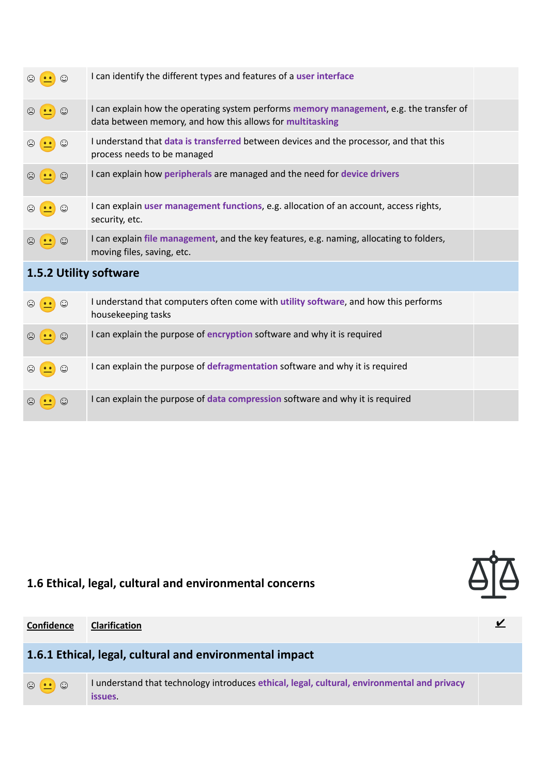|                              | I can identify the different types and features of a user interface                                                                                  |  |
|------------------------------|------------------------------------------------------------------------------------------------------------------------------------------------------|--|
| $\odot$                      | I can explain how the operating system performs memory management, e.g. the transfer of<br>data between memory, and how this allows for multitasking |  |
|                              | I understand that data is transferred between devices and the processor, and that this<br>process needs to be managed                                |  |
| $\odot$<br>$\odot$ $\bullet$ | I can explain how peripherals are managed and the need for device drivers                                                                            |  |
| $\bullet$                    | I can explain user management functions, e.g. allocation of an account, access rights,<br>security, etc.                                             |  |
| $\odot$ $\bullet$<br>$\odot$ | I can explain file management, and the key features, e.g. naming, allocating to folders,<br>moving files, saving, etc.                               |  |
| 1.5.2 Utility software       |                                                                                                                                                      |  |
|                              | I understand that computers often come with utility software, and how this performs<br>housekeeping tasks                                            |  |
| $\odot$                      | I can explain the purpose of <b>encryption</b> software and why it is required                                                                       |  |
|                              | I can explain the purpose of defragmentation software and why it is required                                                                         |  |
| $\odot$<br>$\odot$           | I can explain the purpose of data compression software and why it is required                                                                        |  |

#### **1.6 Ethical, legal, cultural and environmental concerns**

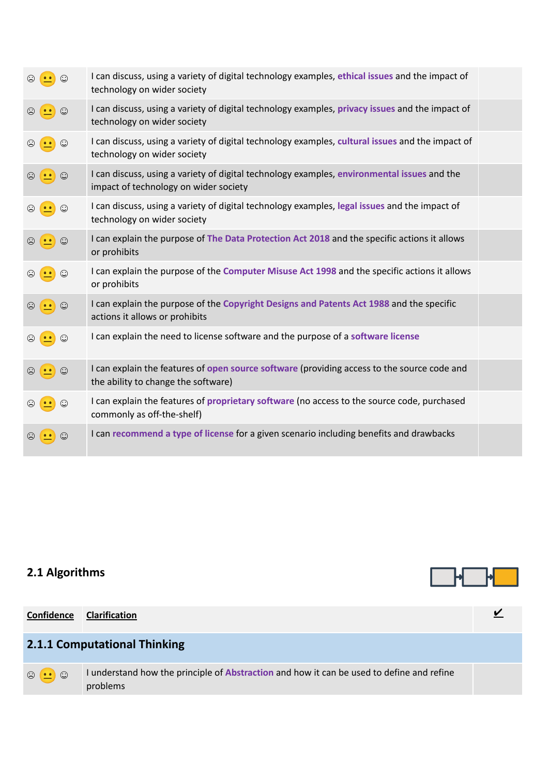|                                     | I can discuss, using a variety of digital technology examples, ethical issues and the impact of<br>technology on wider society       |  |
|-------------------------------------|--------------------------------------------------------------------------------------------------------------------------------------|--|
| $\bullet \bullet$                   | I can discuss, using a variety of digital technology examples, privacy issues and the impact of<br>technology on wider society       |  |
|                                     | I can discuss, using a variety of digital technology examples, cultural issues and the impact of<br>technology on wider society      |  |
| $\odot$ $\bullet$<br>$\odot$        | I can discuss, using a variety of digital technology examples, environmental issues and the<br>impact of technology on wider society |  |
|                                     | I can discuss, using a variety of digital technology examples, legal issues and the impact of<br>technology on wider society         |  |
|                                     | I can explain the purpose of The Data Protection Act 2018 and the specific actions it allows<br>or prohibits                         |  |
|                                     | I can explain the purpose of the Computer Misuse Act 1998 and the specific actions it allows<br>or prohibits                         |  |
|                                     | I can explain the purpose of the Copyright Designs and Patents Act 1988 and the specific<br>actions it allows or prohibits           |  |
| $\odot$                             | I can explain the need to license software and the purpose of a software license                                                     |  |
| $\circledcirc$ $\bullet$<br>$\odot$ | I can explain the features of open source software (providing access to the source code and<br>the ability to change the software)   |  |
| $\bullet$                           | I can explain the features of proprietary software (no access to the source code, purchased<br>commonly as off-the-shelf)            |  |
|                                     | I can recommend a type of license for a given scenario including benefits and drawbacks                                              |  |

### **2.1 Algorithms**

| <b>Confidence</b>         | <b>Clarification</b>                                                                                  |  |
|---------------------------|-------------------------------------------------------------------------------------------------------|--|
|                           | 2.1.1 Computational Thinking                                                                          |  |
| $\odot$ $\bullet$ $\odot$ | I understand how the principle of Abstraction and how it can be used to define and refine<br>problems |  |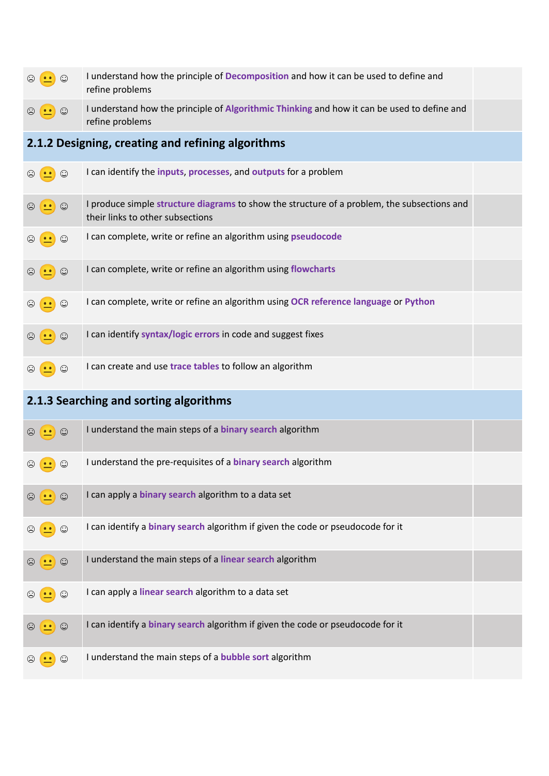| $\overset{\bullet}{-}$<br>$\odot$<br>$\odot$ | I understand how the principle of Decomposition and how it can be used to define and<br>refine problems                         |  |
|----------------------------------------------|---------------------------------------------------------------------------------------------------------------------------------|--|
| $\odot$ $\bullet$<br>$\odot$                 | I understand how the principle of Algorithmic Thinking and how it can be used to define and<br>refine problems                  |  |
|                                              | 2.1.2 Designing, creating and refining algorithms                                                                               |  |
| $\odot$ $\bullet$<br>$\odot$                 | I can identify the <i>inputs</i> , processes, and outputs for a problem                                                         |  |
| $\odot$<br>$\odot$                           | I produce simple structure diagrams to show the structure of a problem, the subsections and<br>their links to other subsections |  |
| $\odot$<br>$\frac{\bullet}{\bullet}$         | I can complete, write or refine an algorithm using <b>pseudocode</b>                                                            |  |
| $\odot$<br>$\circledcirc$ $\circ$            | I can complete, write or refine an algorithm using flowcharts                                                                   |  |
| $\odot$ $\bullet$<br>$\odot$                 | I can complete, write or refine an algorithm using OCR reference language or Python                                             |  |
| $\odot$<br>$\odot$ $\bullet$                 | I can identify syntax/logic errors in code and suggest fixes                                                                    |  |
| $\odot$ $\bullet$ $\odot$                    | I can create and use trace tables to follow an algorithm                                                                        |  |
|                                              | 2.1.3 Searching and sorting algorithms                                                                                          |  |
| $\odot$ $\bullet$ $\odot$                    | I understand the main steps of a binary search algorithm                                                                        |  |
| $\odot$                                      | I understand the pre-requisites of a binary search algorithm                                                                    |  |
| $\odot$<br>$\odot$                           | I can apply a binary search algorithm to a data set                                                                             |  |
| $\odot$                                      | I can identify a binary search algorithm if given the code or pseudocode for it                                                 |  |
| $\odot$                                      | I understand the main steps of a linear search algorithm                                                                        |  |
| $\odot$                                      | I can apply a linear search algorithm to a data set                                                                             |  |
| $\odot$<br>$\frac{\bullet}{\bullet}$         | I can identify a binary search algorithm if given the code or pseudocode for it                                                 |  |
| $\odot$                                      | I understand the main steps of a <b>bubble sort</b> algorithm                                                                   |  |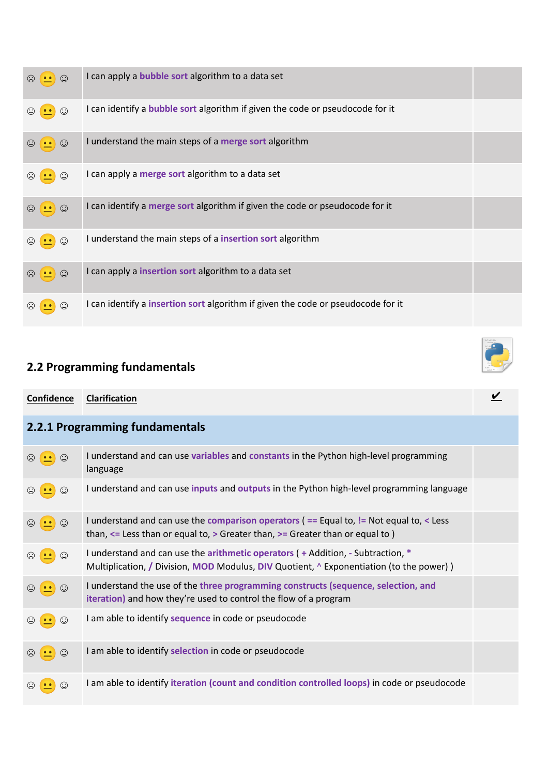| $\odot$                                 | I can apply a <b>bubble sort</b> algorithm to a data set                             |  |
|-----------------------------------------|--------------------------------------------------------------------------------------|--|
| ☺                                       | I can identify a <b>bubble sort</b> algorithm if given the code or pseudocode for it |  |
| ☺<br>$\odot$                            | I understand the main steps of a <b>merge sort</b> algorithm                         |  |
| ☺                                       | I can apply a merge sort algorithm to a data set                                     |  |
| $\odot$<br>$\odot$<br>$\bullet \bullet$ | I can identify a merge sort algorithm if given the code or pseudocode for it         |  |
| $\odot$                                 | I understand the main steps of a <i>insertion sort</i> algorithm                     |  |
| ☺<br>☺                                  | I can apply a insertion sort algorithm to a data set                                 |  |
|                                         | I can identify a insertion sort algorithm if given the code or pseudocode for it     |  |

## **2.2 Programming fundamentals**

| Confidence          | Clarification                                                                                                                                                               |  |
|---------------------|-----------------------------------------------------------------------------------------------------------------------------------------------------------------------------|--|
|                     | 2.2.1 Programming fundamentals                                                                                                                                              |  |
|                     | I understand and can use variables and constants in the Python high-level programming<br>language                                                                           |  |
| ٢                   | I understand and can use <b>inputs and outputs in the Python high-level programming language</b>                                                                            |  |
| $\bullet$           | I understand and can use the comparison operators (== Equal to, != Not equal to, < Less<br>than, $\le$ Less than or equal to, > Greater than, >= Greater than or equal to)  |  |
| $\bullet$ $\bullet$ | I understand and can use the arithmetic operators ( + Addition, - Subtraction, *<br>Multiplication, / Division, MOD Modulus, DIV Quotient, ^ Exponentiation (to the power)) |  |
| $\bullet \bullet$   | I understand the use of the three programming constructs (sequence, selection, and<br>iteration) and how they're used to control the flow of a program                      |  |
| $\bullet$           | I am able to identify sequence in code or pseudocode                                                                                                                        |  |
| ☺<br>• •            | I am able to identify selection in code or pseudocode                                                                                                                       |  |
|                     | I am able to identify iteration (count and condition controlled loops) in code or pseudocode                                                                                |  |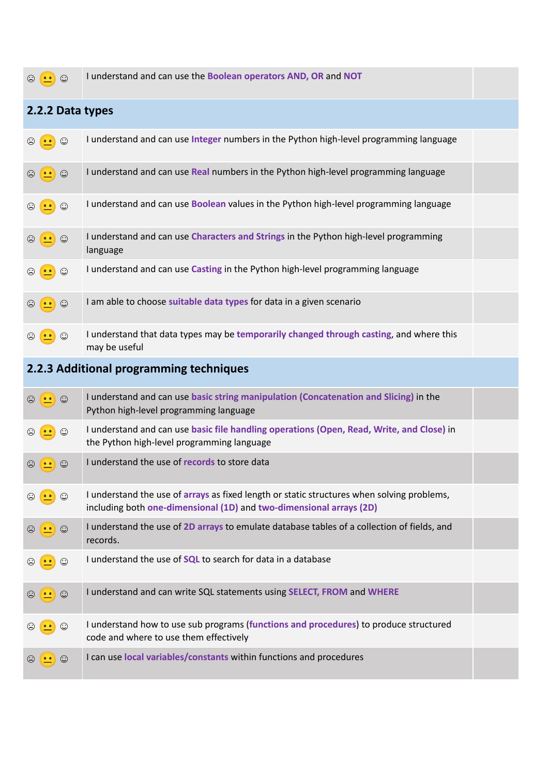$\circledcirc \bullet \bullet$ 

I understand and can use the **Boolean operators AND, OR** and **NOT**

### **2.2.2 Data types**

| $\odot$                                                        | I understand and can use Integer numbers in the Python high-level programming language                                                                            |  |
|----------------------------------------------------------------|-------------------------------------------------------------------------------------------------------------------------------------------------------------------|--|
| $\odot$<br>$\frac{•}{•}$<br>$\odot$                            | I understand and can use Real numbers in the Python high-level programming language                                                                               |  |
| $\odot$<br>$\frac{\bullet}{\bullet}$                           | I understand and can use <b>Boolean values in the Python high-level programming language</b>                                                                      |  |
| $\odot$ $\bullet$<br>$\odot$                                   | I understand and can use Characters and Strings in the Python high-level programming<br>language                                                                  |  |
| $\frac{\bullet}{\bullet}$<br>$\odot$                           | I understand and can use Casting in the Python high-level programming language                                                                                    |  |
| $\odot$<br>$\frac{\cdot \cdot \cdot}{\cdot \cdot \cdot \cdot}$ | I am able to choose suitable data types for data in a given scenario                                                                                              |  |
| $\left( \bullet \bullet \right)$<br>$\odot$                    | I understand that data types may be temporarily changed through casting, and where this<br>may be useful                                                          |  |
|                                                                | 2.2.3 Additional programming techniques                                                                                                                           |  |
| $\odot$ $\bullet$ $\odot$                                      | I understand and can use basic string manipulation (Concatenation and Slicing) in the<br>Python high-level programming language                                   |  |
| $\odot$<br>$\bullet$                                           | I understand and can use basic file handling operations (Open, Read, Write, and Close) in<br>the Python high-level programming language                           |  |
| $\odot$ $\bullet$ $\odot$                                      | I understand the use of records to store data                                                                                                                     |  |
| $\odot$<br>$\left( \bullet \bullet \right)$                    | I understand the use of arrays as fixed length or static structures when solving problems,<br>including both one-dimensional (1D) and two-dimensional arrays (2D) |  |
| $\circledcirc \bullet \bullet \circledcirc$                    | I understand the use of 2D arrays to emulate database tables of a collection of fields, and<br>records.                                                           |  |
| $\odot$                                                        | I understand the use of SQL to search for data in a database                                                                                                      |  |
| $\odot$<br>$\odot$                                             | I understand and can write SQL statements using SELECT, FROM and WHERE                                                                                            |  |
| $\odot$                                                        | I understand how to use sub programs (functions and procedures) to produce structured<br>code and where to use them effectively                                   |  |
| $\odot$                                                        | I can use local variables/constants within functions and procedures                                                                                               |  |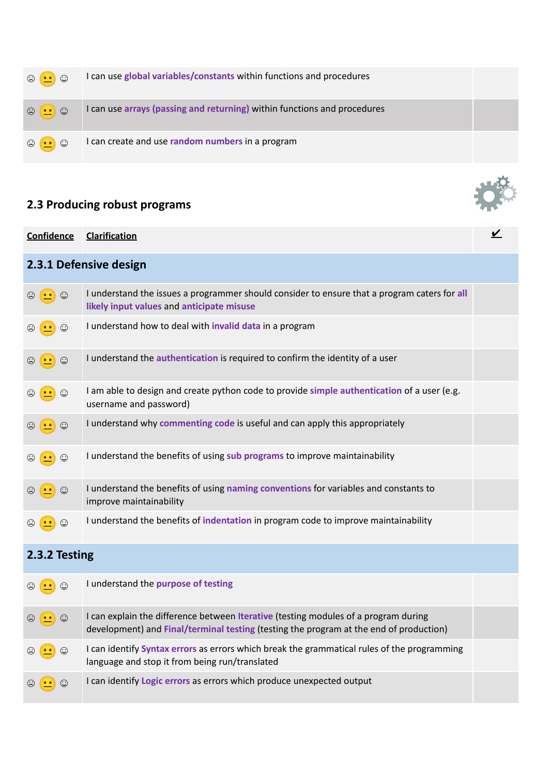| $\bullet$ $\odot$<br>$\odot$ | I can use global variables/constants within functions and procedures     |  |
|------------------------------|--------------------------------------------------------------------------|--|
| $\odot$ $\bullet$ $\odot$    | I can use arrays (passing and returning) within functions and procedures |  |
| $\bullet \bullet$<br>$\odot$ | I can create and use random numbers in a program                         |  |

# **2.3 Producing robust programs**



| Confidence                                                            | <b>Clarification</b>                                                                                                                      |  |  |
|-----------------------------------------------------------------------|-------------------------------------------------------------------------------------------------------------------------------------------|--|--|
|                                                                       | 2.3.1 Defensive design                                                                                                                    |  |  |
| $\odot$<br>$\bullet \bullet$                                          | I understand the issues a programmer should consider to ensure that a program caters for all<br>likely input values and anticipate misuse |  |  |
|                                                                       | I understand how to deal with <i>invalid</i> data in a program                                                                            |  |  |
| $\odot$<br>$\odot$ $\circ$                                            | I understand the authentication is required to confirm the identity of a user                                                             |  |  |
| $\odot$                                                               | I am able to design and create python code to provide simple authentication of a user (e.g.<br>username and password)                     |  |  |
| $\bullet \bullet$<br>$\odot$                                          | I understand why commenting code is useful and can apply this appropriately                                                               |  |  |
| $\odot$                                                               | I understand the benefits of using sub programs to improve maintainability                                                                |  |  |
| $\odot$<br>$\begin{array}{c} \bullet & \bullet \\ \hline \end{array}$ | I understand the benefits of using naming conventions for variables and constants to<br>improve maintainability                           |  |  |
| $\odot$<br>$\bullet$ $\bullet$                                        | I understand the benefits of indentation in program code to improve maintainability                                                       |  |  |
| 2.3.2 Testing                                                         |                                                                                                                                           |  |  |

| $\odot$ $\bullet$ $\odot$    | I understand the purpose of testing                                                                                                                                           |  |
|------------------------------|-------------------------------------------------------------------------------------------------------------------------------------------------------------------------------|--|
| $\odot$ $\bullet$ $\odot$    | I can explain the difference between Iterative (testing modules of a program during<br>development) and Final/terminal testing (testing the program at the end of production) |  |
| $\odot$ $\bullet$ $\odot$    | I can identify Syntax errors as errors which break the grammatical rules of the programming<br>language and stop it from being run/translated                                 |  |
| $\odot$ $\bullet$<br>$\odot$ | I can identify Logic errors as errors which produce unexpected output                                                                                                         |  |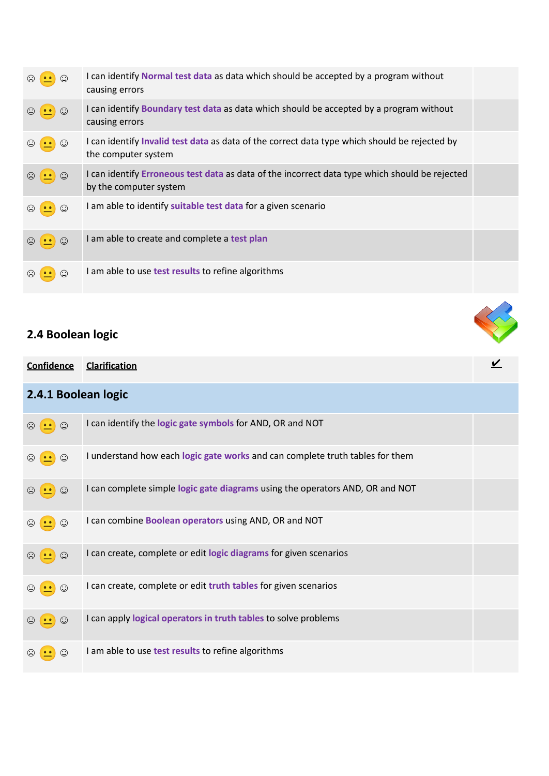|         | I can identify Normal test data as data which should be accepted by a program without<br>causing errors                     |  |
|---------|-----------------------------------------------------------------------------------------------------------------------------|--|
| ☺       | I can identify <b>Boundary test data as data which should be accepted by a program without</b><br>causing errors            |  |
| $\odot$ | I can identify <b>Invalid test data</b> as data of the correct data type which should be rejected by<br>the computer system |  |
| $\odot$ | I can identify Erroneous test data as data of the incorrect data type which should be rejected<br>by the computer system    |  |
| $\odot$ | I am able to identify suitable test data for a given scenario                                                               |  |
| ☺       | I am able to create and complete a test plan                                                                                |  |
|         | I am able to use <b>test results</b> to refine algorithms                                                                   |  |

### **2.4 Boolean logic**

| <b>Confidence Clarification</b> |  |
|---------------------------------|--|
|                                 |  |

| 2.4.1 Boolean logic |  |  |  |
|---------------------|--|--|--|
|---------------------|--|--|--|

| $\odot$<br>☺         | I can identify the logic gate symbols for AND, OR and NOT                     |  |
|----------------------|-------------------------------------------------------------------------------|--|
| ☺                    | I understand how each logic gate works and can complete truth tables for them |  |
| $\odot$              | I can complete simple logic gate diagrams using the operators AND, OR and NOT |  |
| $\odot$<br>$\bullet$ | I can combine Boolean operators using AND, OR and NOT                         |  |
| $\odot$              | I can create, complete or edit logic diagrams for given scenarios             |  |
| ☺<br>☺               | I can create, complete or edit truth tables for given scenarios               |  |
| $\odot$              | I can apply logical operators in truth tables to solve problems               |  |
|                      | I am able to use <b>test results</b> to refine algorithms                     |  |